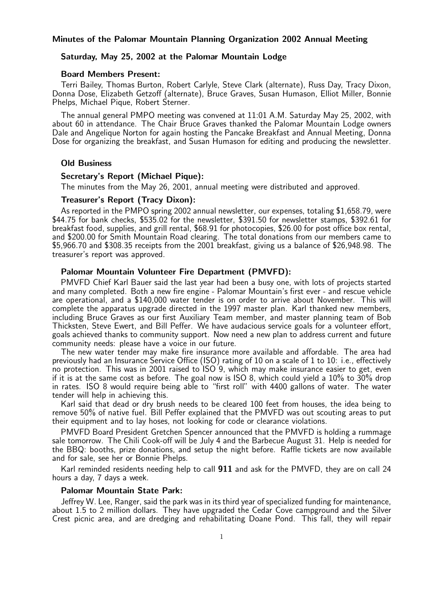# Minutes of the Palomar Mountain Planning Organization 2002 Annual Meeting

# Saturday, May 25, 2002 at the Palomar Mountain Lodge

#### Board Members Present:

Terri Bailey, Thomas Burton, Robert Carlyle, Steve Clark (alternate), Russ Day, Tracy Dixon, Donna Dose, Elizabeth Getzoff (alternate), Bruce Graves, Susan Humason, Elliot Miller, Bonnie Phelps, Michael Pique, Robert Sterner.

The annual general PMPO meeting was convened at 11:01 A.M. Saturday May 25, 2002, with about 60 in attendance. The Chair Bruce Graves thanked the Palomar Mountain Lodge owners Dale and Angelique Norton for again hosting the Pancake Breakfast and Annual Meeting, Donna Dose for organizing the breakfast, and Susan Humason for editing and producing the newsletter.

# Old Business

#### Secretary's Report (Michael Pique):

The minutes from the May 26, 2001, annual meeting were distributed and approved.

# Treasurer's Report (Tracy Dixon):

As reported in the PMPO spring 2002 annual newsletter, our expenses, totaling \$1,658.79, were \$44.75 for bank checks, \$535.02 for the newsletter, \$391.50 for newsletter stamps, \$392.61 for breakfast food, supplies, and grill rental, \$68.91 for photocopies, \$26.00 for post office box rental, and \$200.00 for Smith Mountain Road clearing. The total donations from our members came to \$5,966.70 and \$308.35 receipts from the 2001 breakfast, giving us a balance of \$26,948.98. The treasurer's report was approved.

### Palomar Mountain Volunteer Fire Department (PMVFD):

PMVFD Chief Karl Bauer said the last year had been a busy one, with lots of projects started and many completed. Both a new fire engine - Palomar Mountain's first ever - and rescue vehicle are operational, and a \$140,000 water tender is on order to arrive about November. This will complete the apparatus upgrade directed in the 1997 master plan. Karl thanked new members, including Bruce Graves as our first Auxiliary Team member, and master planning team of Bob Thicksten, Steve Ewert, and Bill Peffer. We have audacious service goals for a volunteer effort, goals achieved thanks to community support. Now need a new plan to address current and future community needs: please have a voice in our future.

The new water tender may make fire insurance more available and affordable. The area had previously had an Insurance Service Office (ISO) rating of 10 on a scale of 1 to 10: i.e., effectively no protection. This was in 2001 raised to ISO 9, which may make insurance easier to get, even if it is at the same cost as before. The goal now is ISO 8, which could yield a 10% to 30% drop in rates. ISO 8 would require being able to "first roll" with 4400 gallons of water. The water tender will help in achieving this.

Karl said that dead or dry brush needs to be cleared 100 feet from houses, the idea being to remove 50% of native fuel. Bill Peffer explained that the PMVFD was out scouting areas to put their equipment and to lay hoses, not looking for code or clearance violations.

PMVFD Board President Gretchen Spencer announced that the PMVFD is holding a rummage sale tomorrow. The Chili Cook-off will be July 4 and the Barbecue August 31. Help is needed for the BBQ: booths, prize donations, and setup the night before. Raffle tickets are now available and for sale, see her or Bonnie Phelps.

Karl reminded residents needing help to call 911 and ask for the PMVFD, they are on call 24 hours a day, 7 days a week.

# Palomar Mountain State Park:

Jeffrey W. Lee, Ranger, said the park was in its third year of specialized funding for maintenance, about 1.5 to 2 million dollars. They have upgraded the Cedar Cove campground and the Silver Crest picnic area, and are dredging and rehabilitating Doane Pond. This fall, they will repair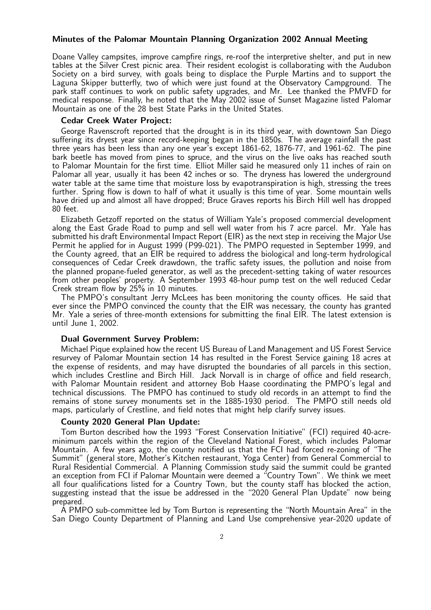# Minutes of the Palomar Mountain Planning Organization 2002 Annual Meeting

Doane Valley campsites, improve campfire rings, re-roof the interpretive shelter, and put in new tables at the Silver Crest picnic area. Their resident ecologist is collaborating with the Audubon Society on a bird survey, with goals being to displace the Purple Martins and to support the Laguna Skipper butterfly, two of which were just found at the Observatory Campground. The park staff continues to work on public safety upgrades, and Mr. Lee thanked the PMVFD for medical response. Finally, he noted that the May 2002 issue of Sunset Magazine listed Palomar Mountain as one of the 28 best State Parks in the United States.

### Cedar Creek Water Project:

George Ravenscroft reported that the drought is in its third year, with downtown San Diego suffering its dryest year since record-keeping began in the 1850s. The average rainfall the past three years has been less than any one year's except 1861-62, 1876-77, and 1961-62. The pine bark beetle has moved from pines to spruce, and the virus on the live oaks has reached south to Palomar Mountain for the first time. Elliot Miller said he measured only 11 inches of rain on Palomar all year, usually it has been 42 inches or so. The dryness has lowered the underground water table at the same time that moisture loss by evapotranspiration is high, stressing the trees further. Spring flow is down to half of what it usually is this time of year. Some mountain wells have dried up and almost all have dropped; Bruce Graves reports his Birch Hill well has dropped 80 feet.

Elizabeth Getzoff reported on the status of William Yale's proposed commercial development along the East Grade Road to pump and sell well water from his 7 acre parcel. Mr. Yale has submitted his draft Environmental Impact Report (EIR) as the next step in receiving the Major Use Permit he applied for in August 1999 (P99-021). The PMPO requested in September 1999, and the County agreed, that an EIR be required to address the biological and long-term hydrological consequences of Cedar Creek drawdown, the traffic safety issues, the pollution and noise from the planned propane-fueled generator, as well as the precedent-setting taking of water resources from other peoples' property. A September 1993 48-hour pump test on the well reduced Cedar Creek stream flow by 25% in 10 minutes.

The PMPO's consultant Jerry McLees has been monitoring the county offices. He said that ever since the PMPO convinced the county that the EIR was necessary, the county has granted Mr. Yale a series of three-month extensions for submitting the final EIR. The latest extension is until June 1, 2002.

# Dual Government Survey Problem:

Michael Pique explained how the recent US Bureau of Land Management and US Forest Service resurvey of Palomar Mountain section 14 has resulted in the Forest Service gaining 18 acres at the expense of residents, and may have disrupted the boundaries of all parcels in this section, which includes Crestline and Birch Hill. Jack Norvall is in charge of office and field research, with Palomar Mountain resident and attorney Bob Haase coordinating the PMPO's legal and technical discussions. The PMPO has continued to study old records in an attempt to find the remains of stone survey monuments set in the 1885-1930 period. The PMPO still needs old maps, particularly of Crestline, and field notes that might help clarify survey issues.

# County 2020 General Plan Update:

Tom Burton described how the 1993 "Forest Conservation Initiative" (FCI) required 40-acreminimum parcels within the region of the Cleveland National Forest, which includes Palomar Mountain. A few years ago, the county notified us that the FCI had forced re-zoning of "The Summit" (general store, Mother's Kitchen restaurant, Yoga Center) from General Commercial to Rural Residential Commercial. A Planning Commission study said the summit could be granted an exception from FCI if Palomar Mountain were deemed a "Country Town". We think we meet all four qualifications listed for a Country Town, but the county staff has blocked the action, suggesting instead that the issue be addressed in the "2020 General Plan Update" now being prepared.

A PMPO sub-committee led by Tom Burton is representing the "North Mountain Area" in the San Diego County Department of Planning and Land Use comprehensive year-2020 update of